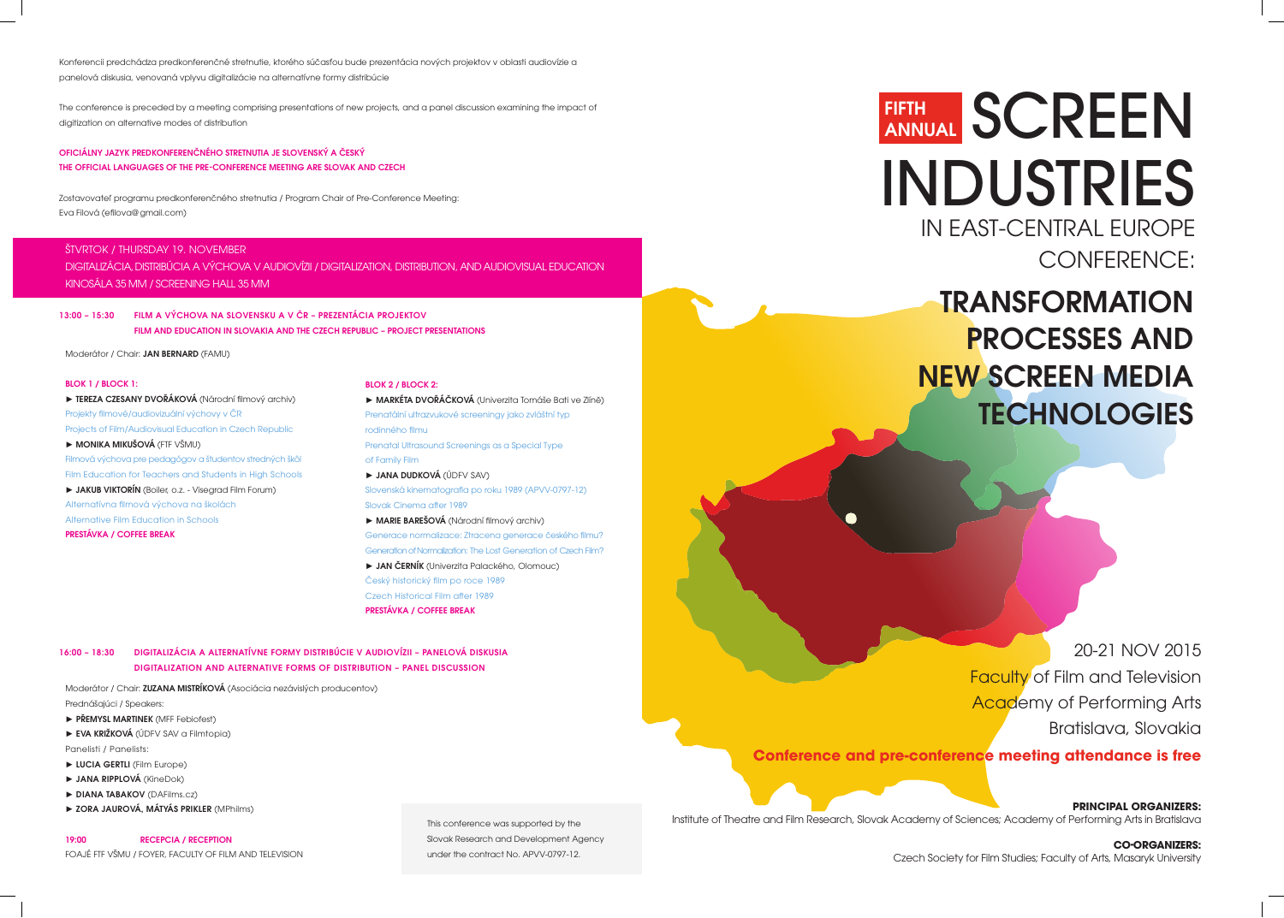# SCREEN INDUSTRIES IN EAST-CENTRAL EUROPE CONFERENCE:

**TRANSFORMATION** PROCESSES AND NEW SCREEN MEDIA **TECHNOLOGIES** 

## FIFTH ANNUAL

20-21 NOV 2015 Faculty of Film and Television Academy of Performing Arts Bratislava, Slovakia  **Conference and pre-conference meeting attendance is free**

**PRINCIPAL ORGANIZERS:** Institute of Theatre and Film Research, Slovak Academy of Sciences; Academy of Performing Arts in Bratislava

**CO-ORGANIZERS:** Czech Society for Film Studies; Faculty of Arts, Masaryk University

Moderátor / Chair: JAN BERNARD (FAMU)

#### BLOK 1 / BLOCK 1:

► TEREZA CZESANY DVOŘÁKOVÁ (Národní filmový archiv) Projekty filmové/audiovizuální výchovy v ČR Projects of Film/Audiovisual Education in Czech Republic ► MONIKA MIKUŠOVÁ (FTF VŠMU) Filmová výchova pre pedagógov a študentov stredných škôl Film Education for Teachers and Students in High Schools ► JAKUB VIKTORÍN (Boiler, o.z. - Visegrad Film Forum) Alternatívna filmová výchova na školách Alternative Film Education in Schools

PRESTÁVKA / COFFEE BREAK

#### BLOK 2 / BLOCK 2:

► MARKÉTA DVOŘÁČKOVÁ (Univerzita Tomáše Bati ve Zlíně) Prenatální ultrazvukové screeningy jako zvláštní typ rodinného filmu Prenatal Ultrasound Screenings as a Special Type of Family Film ► JANA DUDKOVÁ (ÚDFV SAV) Slovenská kinematografia po roku 1989 (APVV-0797-12) Slovak Cinema after 1989 ► MARIE BAREŠOVÁ (Národní filmový archiv) Generace normalizace: Ztracena generace českého filmu? Generation of Normalization: The Lost Generation of Czech Film? ► JAN ČERNÍK (Univerzita Palackého, Olomouc) Český historický film po roce 1989

Czech Historical Film after 1989 PRESTÁVKA / COFFEE BREAK

Konferencii predchádza predkonferenčné stretnutie, ktorého súčasťou bude prezentácia nových projektov v oblasti audiovízie a panelová diskusia, venovaná vplyvu digitalizácie na alternatívne formy distribúcie

The conference is preceded by a meeting comprising presentations of new projects, and a panel discussion examining the impact of digitization on alternative modes of distribution

#### OFICIÁLNY JAZYK PREDKONFERENČNÉHO STRETNUTIA JE SLOVENSKÝ A ČESKÝ THE OFFICIAL LANGUAGES OF THE PRE-CONFERENCE MEETING ARE SLOVAK AND CZECH

Zostavovateľ programu predkonferenčného stretnutia / Program Chair of Pre-Conference Meeting: Eva Filová (efilova@gmail.com)

13:00 – 15:30 FILM A VÝCHOVA NA SLOVENSKU A V ČR – PREZENTÁCIA PROJEKTOV FILM AND EDUCATION IN SLOVAKIA AND THE CZECH REPUBLIC – PROJECT PRESENTATIONS

#### 16:00 – 18:30 DIGITALIZÁCIA A ALTERNATÍVNE FORMY DISTRIBÚCIE V AUDIOVÍZII – PANELOVÁ DISKUSIA DIGITALIZATION AND ALTERNATIVE FORMS OF DISTRIBUTION – PANEL DISCUSSION

#### ŠTVRTOK / THURSDAY 19. NOVEMBER

DIGITALIZÁCIA, DISTRIBÚCIA A VÝCHOVA V AUDIOVÍZII / DIGITALIZATION, DISTRIBUTION, AND AUDIOVISUAL EDUCATION KINOSÁLA 35 MM / SCREENING HALL 35 MM

Moderátor / Chair: ZUZANA MISTRÍKOVÁ (Asociácia nezávislých producentov) Prednášajúci / Speakers:

- ► PŘEMYSL MARTINEK (MFF Febiofest)
- ► EVA KRIŽKOVÁ (ÚDFV SAV a Filmtopia) Panelisti / Panelists:
- ► LUCIA GERTLI (Film Europe)
- ► JANA RIPPLOVÁ (KineDok)
- ► DIANA TABAKOV (DAFilms.cz)
- ► ZORA JAUROVÁ, MÁTYÁS PRIKLER (MPhilms)

#### 19:00 RECEPCIA / RECEPTION

FOAJÉ FTF VŠMU / FOYER, FACULTY OF FILM AND TELEVISION

This conference was supported by the Slovak Research and Development Agency under the contract No. APVV-0797-12.